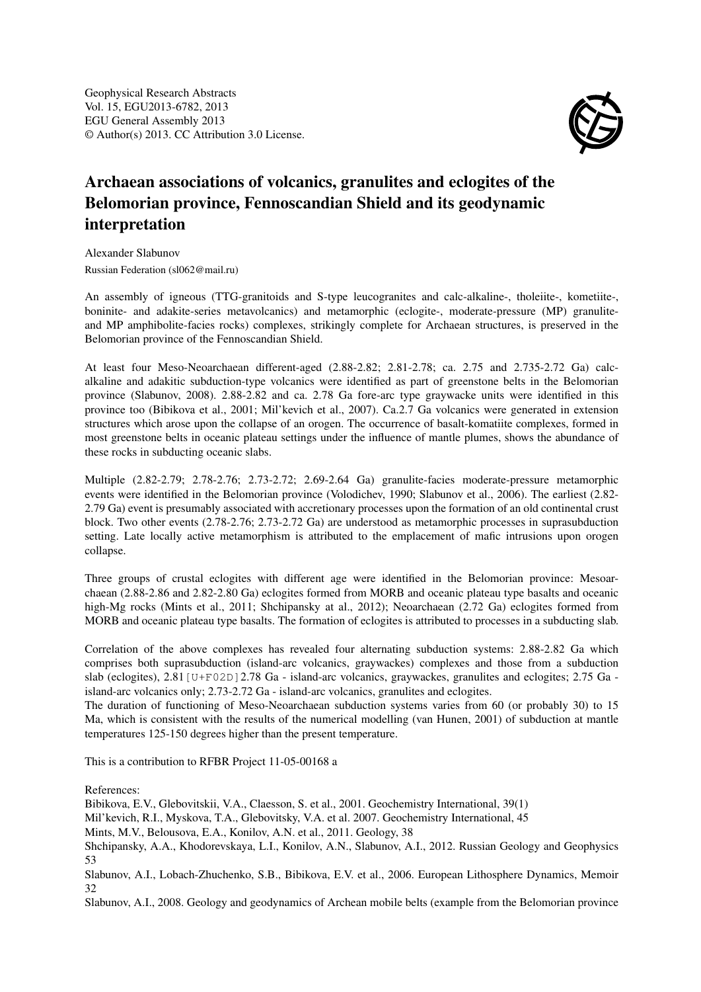Geophysical Research Abstracts Vol. 15, EGU2013-6782, 2013 EGU General Assembly 2013 © Author(s) 2013. CC Attribution 3.0 License.



## Archaean associations of volcanics, granulites and eclogites of the Belomorian province, Fennoscandian Shield and its geodynamic interpretation

Alexander Slabunov Russian Federation (sl062@mail.ru)

An assembly of igneous (TTG-granitoids and S-type leucogranites and calc-alkaline-, tholeiite-, kometiite-, boninite- and adakite-series metavolcanics) and metamorphic (eclogite-, moderate-pressure (MP) granuliteand MP amphibolite-facies rocks) complexes, strikingly complete for Archaean structures, is preserved in the Belomorian province of the Fennoscandian Shield.

At least four Meso-Neoarchaean different-aged (2.88-2.82; 2.81-2.78; ca. 2.75 and 2.735-2.72 Ga) calcalkaline and adakitic subduction-type volcanics were identified as part of greenstone belts in the Belomorian province (Slabunov, 2008). 2.88-2.82 and ca. 2.78 Ga fore-arc type graywacke units were identified in this province too (Bibikova et al., 2001; Mil'kevich et al., 2007). Ca.2.7 Ga volcanics were generated in extension structures which arose upon the collapse of an orogen. The occurrence of basalt-komatiite complexes, formed in most greenstone belts in oceanic plateau settings under the influence of mantle plumes, shows the abundance of these rocks in subducting oceanic slabs.

Multiple (2.82-2.79; 2.78-2.76; 2.73-2.72; 2.69-2.64 Ga) granulite-facies moderate-pressure metamorphic events were identified in the Belomorian province (Volodichev, 1990; Slabunov et al., 2006). The earliest (2.82- 2.79 Ga) event is presumably associated with accretionary processes upon the formation of an old continental crust block. Two other events (2.78-2.76; 2.73-2.72 Ga) are understood as metamorphic processes in suprasubduction setting. Late locally active metamorphism is attributed to the emplacement of mafic intrusions upon orogen collapse.

Three groups of crustal eclogites with different age were identified in the Belomorian province: Mesoarchaean (2.88-2.86 and 2.82-2.80 Ga) eclogites formed from MORB and oceanic plateau type basalts and oceanic high-Mg rocks (Mints et al., 2011; Shchipansky at al., 2012); Neoarchaean (2.72 Ga) eclogites formed from MORB and oceanic plateau type basalts. The formation of eclogites is attributed to processes in a subducting slab.

Correlation of the above complexes has revealed four alternating subduction systems: 2.88-2.82 Ga which comprises both suprasubduction (island-arc volcanics, graywackes) complexes and those from a subduction slab (eclogites), 2.81 [U+F02D] 2.78 Ga - island-arc volcanics, graywackes, granulites and eclogites; 2.75 Ga island-arc volcanics only; 2.73-2.72 Ga - island-arc volcanics, granulites and eclogites.

The duration of functioning of Meso-Neoarchaean subduction systems varies from 60 (or probably 30) to 15 Ma, which is consistent with the results of the numerical modelling (van Hunen, 2001) of subduction at mantle temperatures 125-150 degrees higher than the present temperature.

This is a contribution to RFBR Project 11-05-00168 a

References:

Bibikova, E.V., Glebovitskii, V.A., Claesson, S. et al., 2001. Geochemistry International, 39(1)

Mil'kevich, R.I., Myskova, T.A., Glebovitsky, V.A. et al. 2007. Geochemistry International, 45

Mints, M.V., Belousova, E.A., Konilov, A.N. et al., 2011. Geology, 38

Shchipansky, A.A., Khodorevskaya, L.I., Konilov, A.N., Slabunov, A.I., 2012. Russian Geology and Geophysics 53

Slabunov, A.I., Lobach-Zhuchenko, S.B., Bibikova, E.V. et al., 2006. European Lithosphere Dynamics, Memoir 32

Slabunov, A.I., 2008. Geology and geodynamics of Archean mobile belts (example from the Belomorian province